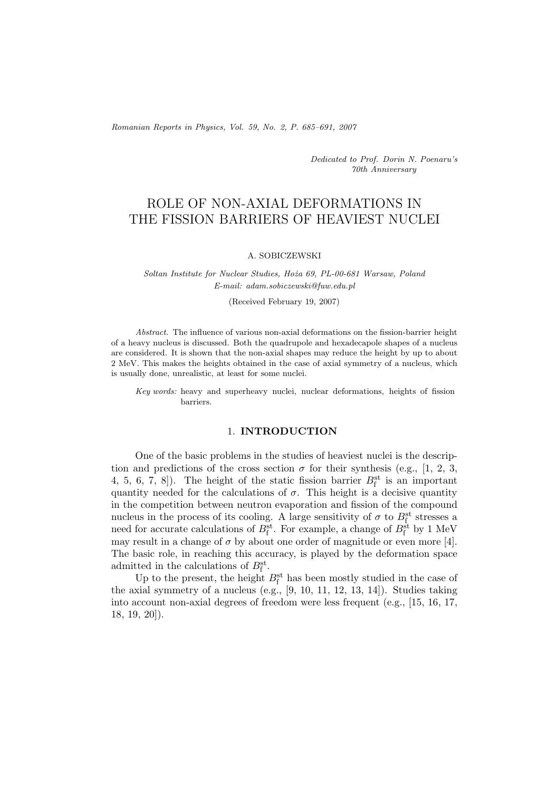*Romanian Reports in Physics, Vol. 59, No. 2, P. 685–691, 2007*

*Dedicated to Prof. Dorin N. Poenaru's 70th Anniversary*

# ROLE OF NON-AXIAL DEFORMATIONS IN THE FISSION BARRIERS OF HEAVIEST NUCLEI

#### A. SOBICZEWSKI

*Soltan Institute for Nuclear Studies, Ho˙za 69, PL-00-681 Warsaw, Poland E-mail: adam.sobiczewski@fuw.edu.pl*

(Received February 19, 2007)

*Abstract.* The influence of various non-axial deformations on the fission-barrier height of a heavy nucleus is discussed. Both the quadrupole and hexadecapole shapes of a nucleus are considered. It is shown that the non-axial shapes may reduce the height by up to about 2 MeV. This makes the heights obtained in the case of axial symmetry of a nucleus, which is usually done, unrealistic, at least for some nuclei.

*Key words:* heavy and superheavy nuclei, nuclear deformations, heights of fission barriers.

## 1. **INTRODUCTION**

One of the basic problems in the studies of heaviest nuclei is the description and predictions of the cross section  $\sigma$  for their synthesis (e.g., [1, 2, 3, 4, 5, 6, 7, 8]). The height of the static fission barrier  $B<sub>f</sub><sup>st</sup>$  is an important quantity needed for the calculations of  $\sigma$ . This height is a decisive quantity in the competition between neutron evaporation and fission of the compound nucleus in the process of its cooling. A large sensitivity of  $\sigma$  to  $B_{\rm f}^{\rm st}$  stresses a need for accurate calculations of  $B<sub>f</sub><sup>st</sup>$ . For example, a change of  $B<sub>f</sub><sup>st</sup>$  by 1 MeV may result in a change of  $\sigma$  by about one order of magnitude or even more [4]. The basic role, in reaching this accuracy, is played by the deformation space admitted in the calculations of  $B<sub>f</sub><sup>st</sup>$ .

Up to the present, the height  $B_f^{\text{st}}$  has been mostly studied in the case of the axial symmetry of a nucleus (e.g., [9, 10, 11, 12, 13, 14]). Studies taking into account non-axial degrees of freedom were less frequent (e.g., [15, 16, 17, 18, 19, 20]).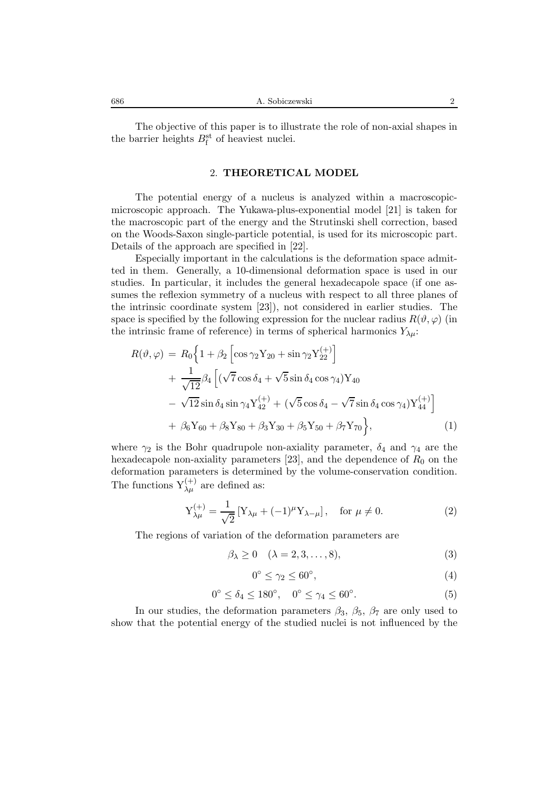686 A. Sobiczewski 2

The objective of this paper is to illustrate the role of non-axial shapes in the barrier heights  $B<sub>f</sub><sup>st</sup>$  of heaviest nuclei.

## 2. **THEORETICAL MODEL**

The potential energy of a nucleus is analyzed within a macroscopicmicroscopic approach. The Yukawa-plus-exponential model [21] is taken for the macroscopic part of the energy and the Strutinski shell correction, based on the Woods-Saxon single-particle potential, is used for its microscopic part. Details of the approach are specified in [22].

Especially important in the calculations is the deformation space admitted in them. Generally, a 10-dimensional deformation space is used in our studies. In particular, it includes the general hexadecapole space (if one assumes the reflexion symmetry of a nucleus with respect to all three planes of the intrinsic coordinate system [23]), not considered in earlier studies. The space is specified by the following expression for the nuclear radius  $R(\vartheta, \varphi)$  (in the intrinsic frame of reference) in terms of spherical harmonics  $Y_{\lambda\mu}$ :

$$
R(\vartheta, \varphi) = R_0 \Big\{ 1 + \beta_2 \Big[ \cos \gamma_2 Y_{20} + \sin \gamma_2 Y_{22}^{(+)} \Big] + \frac{1}{\sqrt{12}} \beta_4 \Big[ (\sqrt{7} \cos \delta_4 + \sqrt{5} \sin \delta_4 \cos \gamma_4) Y_{40} - \sqrt{12} \sin \delta_4 \sin \gamma_4 Y_{42}^{(+)} + (\sqrt{5} \cos \delta_4 - \sqrt{7} \sin \delta_4 \cos \gamma_4) Y_{44}^{(+)} \Big] + \beta_6 Y_{60} + \beta_8 Y_{80} + \beta_3 Y_{30} + \beta_5 Y_{50} + \beta_7 Y_{70} \Big\},
$$
(1)

where  $\gamma_2$  is the Bohr quadrupole non-axiality parameter,  $\delta_4$  and  $\gamma_4$  are the hexadecapole non-axiality parameters [23], and the dependence of  $R_0$  on the deformation parameters is determined by the volume-conservation condition. The functions  $Y_{\lambda\mu}^{(+)}$  are defined as:

$$
Y_{\lambda\mu}^{(+)} = \frac{1}{\sqrt{2}} \left[ Y_{\lambda\mu} + (-1)^{\mu} Y_{\lambda-\mu} \right], \text{ for } \mu \neq 0.
$$
 (2)

The regions of variation of the deformation parameters are

$$
\beta_{\lambda} \ge 0 \quad (\lambda = 2, 3, \dots, 8), \tag{3}
$$

$$
0^{\circ} \le \gamma_2 \le 60^{\circ},\tag{4}
$$

$$
0^{\circ} \le \delta_4 \le 180^{\circ}, \quad 0^{\circ} \le \gamma_4 \le 60^{\circ}.
$$
 (5)

In our studies, the deformation parameters  $\beta_3$ ,  $\beta_5$ ,  $\beta_7$  are only used to show that the potential energy of the studied nuclei is not influenced by the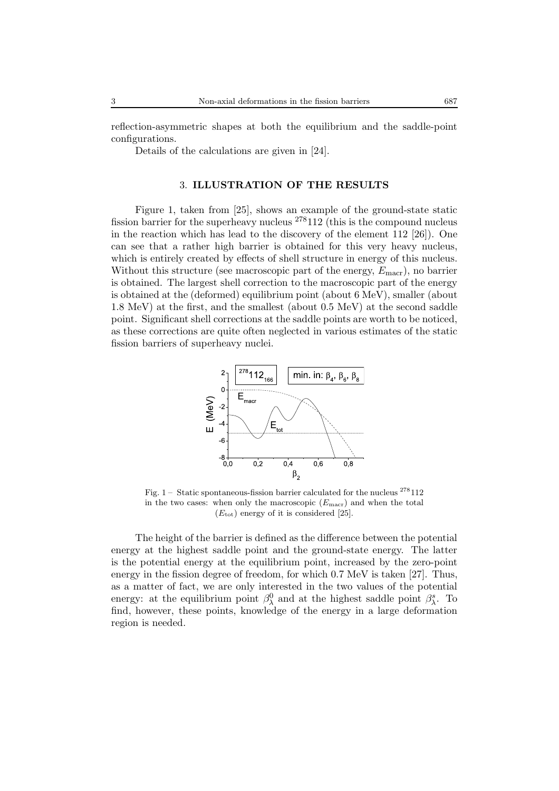reflection-asymmetric shapes at both the equilibrium and the saddle-point configurations.

Details of the calculations are given in [24].

### 3. **ILLUSTRATION OF THE RESULTS**

Figure 1, taken from [25], shows an example of the ground-state static fission barrier for the superheavy nucleus  $278112$  (this is the compound nucleus in the reaction which has lead to the discovery of the element 112 [26]). One can see that a rather high barrier is obtained for this very heavy nucleus, which is entirely created by effects of shell structure in energy of this nucleus. Without this structure (see macroscopic part of the energy,  $E_{\text{macro}}$ ), no barrier is obtained. The largest shell correction to the macroscopic part of the energy is obtained at the (deformed) equilibrium point (about 6 MeV), smaller (about 1.8 MeV) at the first, and the smallest (about 0.5 MeV) at the second saddle point. Significant shell corrections at the saddle points are worth to be noticed, as these corrections are quite often neglected in various estimates of the static fission barriers of superheavy nuclei.



Fig.  $1 -$  Static spontaneous-fission barrier calculated for the nucleus  $278112$ in the two cases: when only the macroscopic  $(E_{\text{macro}})$  and when the total  $(E_{\text{tot}})$  energy of it is considered [25].

The height of the barrier is defined as the difference between the potential energy at the highest saddle point and the ground-state energy. The latter is the potential energy at the equilibrium point, increased by the zero-point energy in the fission degree of freedom, for which 0.7 MeV is taken [27]. Thus, as a matter of fact, we are only interested in the two values of the potential energy: at the equilibrium point  $\beta_{\lambda}^0$  and at the highest saddle point  $\beta_{\lambda}^s$ . To find, however, these points, knowledge of the energy in a large deformation region is needed.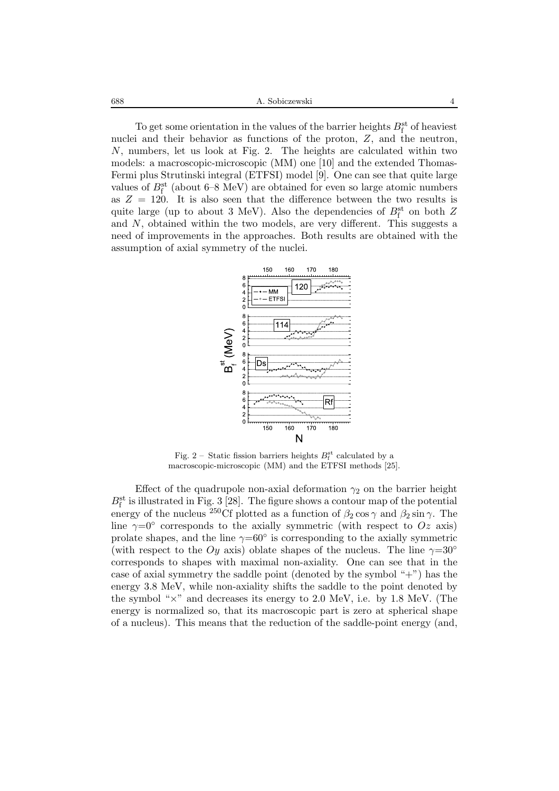688 A. Sobiczewski 4

To get some orientation in the values of the barrier heights  $B<sup>st</sup><sub>f</sub>$  of heaviest nuclei and their behavior as functions of the proton, Z, and the neutron, N, numbers, let us look at Fig. 2. The heights are calculated within two models: a macroscopic-microscopic (MM) one [10] and the extended Thomas-Fermi plus Strutinski integral (ETFSI) model [9]. One can see that quite large values of  $B<sub>f</sub><sup>st</sup>$  (about 6–8 MeV) are obtained for even so large atomic numbers as  $Z = 120$ . It is also seen that the difference between the two results is quite large (up to about 3 MeV). Also the dependencies of  $B<sub>f</sub><sup>st</sup>$  on both Z and N, obtained within the two models, are very different. This suggests a need of improvements in the approaches. Both results are obtained with the assumption of axial symmetry of the nuclei.



Fig. 2 – Static fission barriers heights  $B_f^{\text{st}}$  calculated by a macroscopic-microscopic (MM) and the ETFSI methods [25].

Effect of the quadrupole non-axial deformation  $\gamma_2$  on the barrier height  $B_{\rm f}^{\rm st}$  is illustrated in Fig. 3 [28]. The figure shows a contour map of the potential energy of the nucleus <sup>250</sup>Cf plotted as a function of  $\beta_2 \cos \gamma$  and  $\beta_2 \sin \gamma$ . The line  $\gamma=0^{\circ}$  corresponds to the axially symmetric (with respect to  $Oz$  axis) prolate shapes, and the line  $\gamma=60^\circ$  is corresponding to the axially symmetric (with respect to the Oy axis) oblate shapes of the nucleus. The line  $\gamma=30^{\circ}$ corresponds to shapes with maximal non-axiality. One can see that in the case of axial symmetry the saddle point (denoted by the symbol "+") has the energy 3.8 MeV, while non-axiality shifts the saddle to the point denoted by the symbol " $\times$ " and decreases its energy to 2.0 MeV, i.e. by 1.8 MeV. (The energy is normalized so, that its macroscopic part is zero at spherical shape of a nucleus). This means that the reduction of the saddle-point energy (and,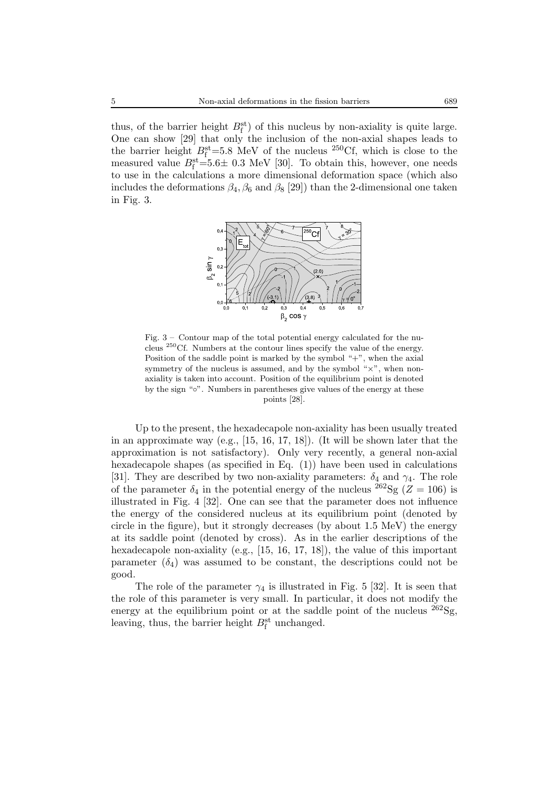thus, of the barrier height  $B_f^{\text{st}}$ ) of this nucleus by non-axiality is quite large. One can show [29] that only the inclusion of the non-axial shapes leads to the barrier height  $B_f^{\text{st}}=5.8$  MeV of the nucleus <sup>250</sup>Cf, which is close to the measured value  $B_f^{\text{st}}=5.6\pm 0.3$  MeV [30]. To obtain this, however, one needs to use in the calculations a more dimensional deformation space (which also includes the deformations  $\beta_4, \beta_6$  and  $\beta_8$  [29]) than the 2-dimensional one taken in Fig. 3.



Fig.  $3 -$  Contour map of the total potential energy calculated for the nucleus  $^{250}$ Cf. Numbers at the contour lines specify the value of the energy. Position of the saddle point is marked by the symbol  $+$ ", when the axial symmetry of the nucleus is assumed, and by the symbol " $\times$ ", when nonaxiality is taken into account. Position of the equilibrium point is denoted by the sign "∘". Numbers in parentheses give values of the energy at these points [28].

Up to the present, the hexadecapole non-axiality has been usually treated in an approximate way (e.g., [15, 16, 17, 18]). (It will be shown later that the approximation is not satisfactory). Only very recently, a general non-axial hexadecapole shapes (as specified in Eq. (1)) have been used in calculations [31]. They are described by two non-axiality parameters:  $\delta_4$  and  $\gamma_4$ . The role of the parameter  $\delta_4$  in the potential energy of the nucleus  ${}^{262}$ Sg (Z = 106) is illustrated in Fig. 4 [32]. One can see that the parameter does not influence the energy of the considered nucleus at its equilibrium point (denoted by circle in the figure), but it strongly decreases (by about 1.5 MeV) the energy at its saddle point (denoted by cross). As in the earlier descriptions of the hexadecapole non-axiality (e.g., [15, 16, 17, 18]), the value of this important parameter  $(\delta_4)$  was assumed to be constant, the descriptions could not be good.

The role of the parameter  $\gamma_4$  is illustrated in Fig. 5 [32]. It is seen that the role of this parameter is very small. In particular, it does not modify the energy at the equilibrium point or at the saddle point of the nucleus  $^{262}$ Sg, leaving, thus, the barrier height  $B<sub>f</sub><sup>st</sup>$  unchanged.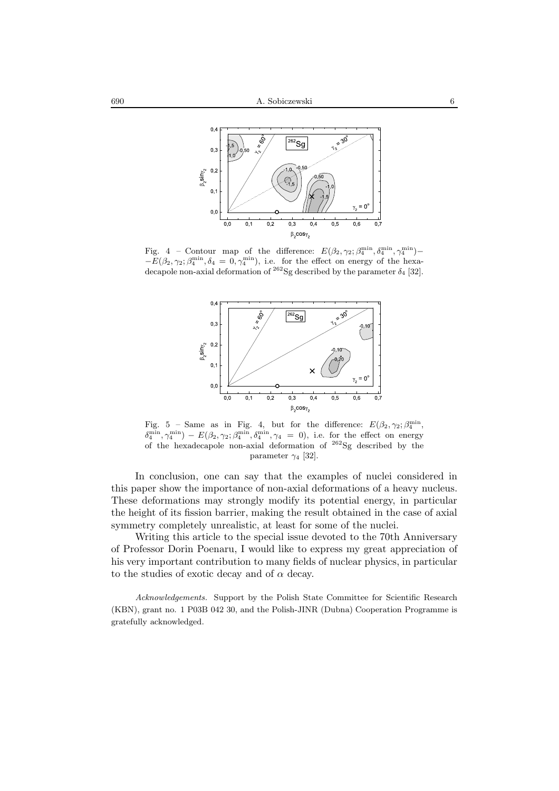

Fig. 4 – Contour map of the difference:  $E(\beta_2, \gamma_2; \beta_4^{\text{min}}, \delta_4^{\text{min}}, \gamma_4^{\text{min}})$  –  $-E(\beta_2, \gamma_2; \beta_4^{\text{min}}, \delta_4 = 0, \gamma_4^{\text{min}}),$  i.e. for the effect on energy of the hexadecapole non-axial deformation of  ${}^{262}$ Sg described by the parameter  $\delta_4$  [32].



Fig. 5 – Same as in Fig. 4, but for the difference:  $E(\beta_2, \gamma_2; \beta_4^{\text{min}},$  $\delta_4^{\min}, \gamma_4^{\min}$ ) –  $E(\beta_2, \gamma_2; \beta_4^{\min}, \delta_4^{\min}, \gamma_4 = 0)$ , i.e. for the effect on energy of the hexadecapole non-axial deformation of  $262$  Sg described by the parameter  $\gamma_4$  [32].

In conclusion, one can say that the examples of nuclei considered in this paper show the importance of non-axial deformations of a heavy nucleus. These deformations may strongly modify its potential energy, in particular the height of its fission barrier, making the result obtained in the case of axial symmetry completely unrealistic, at least for some of the nuclei.

Writing this article to the special issue devoted to the 70th Anniversary of Professor Dorin Poenaru, I would like to express my great appreciation of his very important contribution to many fields of nuclear physics, in particular to the studies of exotic decay and of  $\alpha$  decay.

*Acknowledgements.* Support by the Polish State Committee for Scientific Research (KBN), grant no. 1 P03B 042 30, and the Polish-JINR (Dubna) Cooperation Programme is gratefully acknowledged.